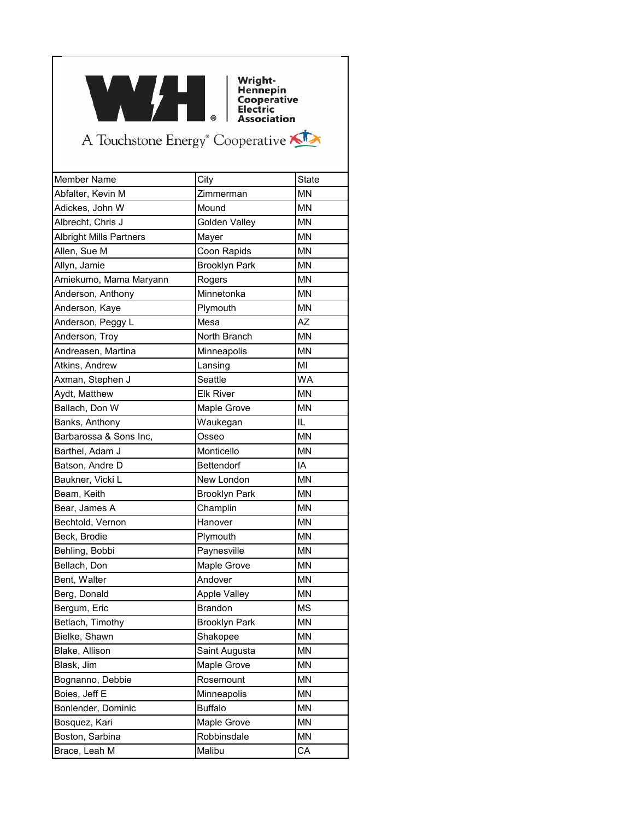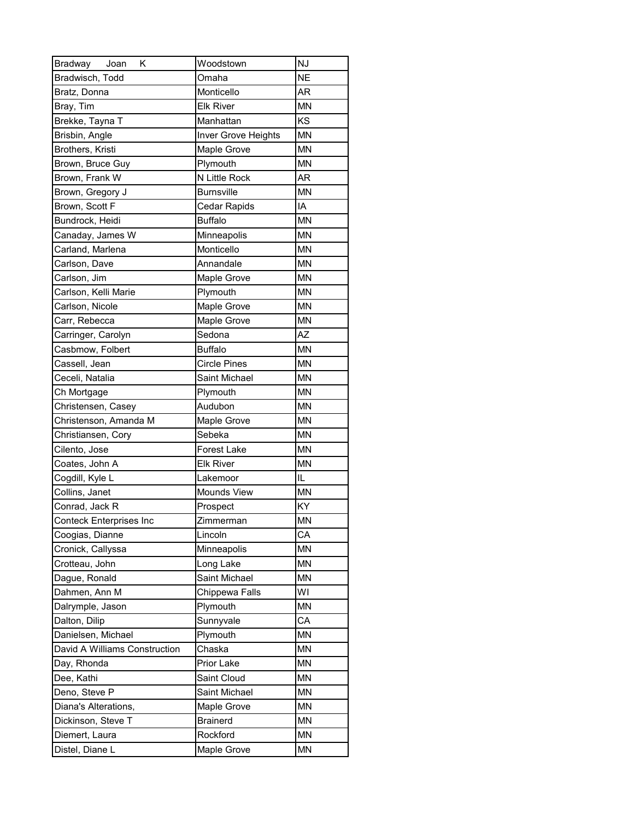| Bradway<br>Joan<br>Κ          | Woodstown           | NJ        |
|-------------------------------|---------------------|-----------|
| Bradwisch, Todd               | Omaha               | <b>NE</b> |
| Bratz, Donna                  | Monticello          | AR        |
| Bray, Tim                     | <b>Elk River</b>    | MN        |
| Brekke, Tayna T               | Manhattan           | KS        |
| Brisbin, Angle                | Inver Grove Heights | <b>MN</b> |
| Brothers, Kristi              | Maple Grove         | <b>MN</b> |
| Brown, Bruce Guy              | Plymouth            | <b>MN</b> |
| Brown, Frank W                | N Little Rock       | AR        |
| Brown, Gregory J              | <b>Burnsville</b>   | <b>MN</b> |
| Brown, Scott F                | Cedar Rapids        | IA        |
| Bundrock, Heidi               | <b>Buffalo</b>      | <b>MN</b> |
| Canaday, James W              | Minneapolis         | <b>MN</b> |
| Carland, Marlena              | Monticello          | <b>MN</b> |
| Carlson, Dave                 | Annandale           | <b>MN</b> |
| Carlson, Jim                  | Maple Grove         | <b>MN</b> |
| Carlson, Kelli Marie          | Plymouth            | <b>MN</b> |
| Carlson, Nicole               | Maple Grove         | <b>MN</b> |
| Carr, Rebecca                 | Maple Grove         | <b>MN</b> |
| Carringer, Carolyn            | Sedona              | AZ        |
| Casbmow, Folbert              | <b>Buffalo</b>      | <b>MN</b> |
| Cassell, Jean                 | <b>Circle Pines</b> | <b>MN</b> |
| Ceceli, Natalia               | Saint Michael       | <b>MN</b> |
| Ch Mortgage                   | Plymouth            | <b>MN</b> |
| Christensen, Casey            | Audubon             | <b>MN</b> |
| Christenson, Amanda M         | Maple Grove         | <b>MN</b> |
| Christiansen, Cory            | Sebeka              | <b>MN</b> |
| Cilento, Jose                 | Forest Lake         | <b>MN</b> |
| Coates, John A                | <b>Elk River</b>    | <b>MN</b> |
| Cogdill, Kyle L               | Lakemoor            | IL        |
| Collins, Janet                | Mounds View         | <b>MN</b> |
| Conrad, Jack R                | Prospect            | KY        |
| Conteck Enterprises Inc       | Zimmerman           | MN        |
| Coogias, Dianne               | Lincoln             | СA        |
| Cronick, Callyssa             | Minneapolis         | MN        |
| Crotteau, John                | Long Lake           | <b>MN</b> |
| Dague, Ronald                 | Saint Michael       | <b>MN</b> |
| Dahmen, Ann M                 | Chippewa Falls      | WI        |
| Dalrymple, Jason              | Plymouth            | <b>MN</b> |
| Dalton, Dilip                 | Sunnyvale           | CA        |
| Danielsen, Michael            | Plymouth            | MN        |
| David A Williams Construction | Chaska              | <b>MN</b> |
| Day, Rhonda                   | Prior Lake          | <b>MN</b> |
| Dee, Kathi                    | Saint Cloud         | MN        |
| Deno, Steve P                 | Saint Michael       | <b>MN</b> |
| Diana's Alterations,          | Maple Grove         | <b>MN</b> |
| Dickinson, Steve T            | <b>Brainerd</b>     | MN        |
| Diemert, Laura                | Rockford            | MN        |
| Distel, Diane L               | Maple Grove         | <b>MN</b> |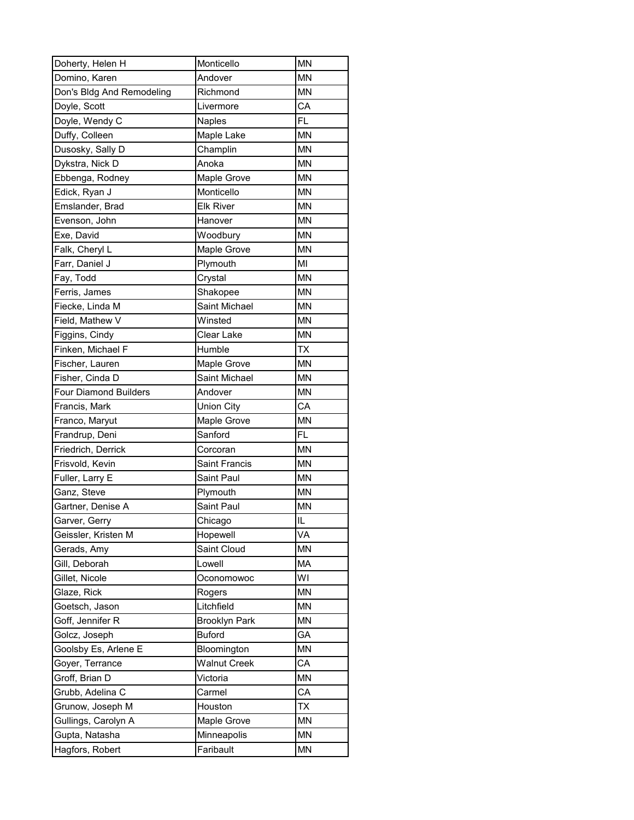| Doherty, Helen H             | Monticello           | <b>MN</b> |
|------------------------------|----------------------|-----------|
| Domino, Karen                | Andover              | <b>MN</b> |
| Don's Bldg And Remodeling    | Richmond             | <b>MN</b> |
| Doyle, Scott                 | Livermore            | CA        |
| Doyle, Wendy C               | Naples               | <b>FL</b> |
| Duffy, Colleen               | Maple Lake           | <b>MN</b> |
| Dusosky, Sally D             | Champlin             | <b>MN</b> |
| Dykstra, Nick D              | Anoka                | <b>MN</b> |
| Ebbenga, Rodney              | Maple Grove          | <b>MN</b> |
| Edick, Ryan J                | Monticello           | <b>MN</b> |
| Emslander, Brad              | <b>Elk River</b>     | <b>MN</b> |
| Evenson, John                | Hanover              | <b>MN</b> |
| Exe, David                   | Woodbury             | <b>MN</b> |
| Falk, Cheryl L               | Maple Grove          | <b>MN</b> |
| Farr, Daniel J               | Plymouth             | MI        |
| Fay, Todd                    | Crystal              | <b>MN</b> |
| Ferris, James                | Shakopee             | <b>MN</b> |
| Fiecke, Linda M              | Saint Michael        | <b>MN</b> |
| Field, Mathew V              | Winsted              | <b>MN</b> |
| Figgins, Cindy               | Clear Lake           | <b>MN</b> |
| Finken, Michael F            | Humble               | <b>TX</b> |
| Fischer, Lauren              | Maple Grove          | <b>MN</b> |
| Fisher, Cinda D              | Saint Michael        | <b>MN</b> |
| <b>Four Diamond Builders</b> | Andover              | <b>MN</b> |
| Francis, Mark                | <b>Union City</b>    | CA        |
| Franco, Maryut               | Maple Grove          | <b>MN</b> |
| Frandrup, Deni               | Sanford              | <b>FL</b> |
| Friedrich, Derrick           | Corcoran             | <b>MN</b> |
| Frisvold, Kevin              | <b>Saint Francis</b> | <b>MN</b> |
| Fuller, Larry E              | Saint Paul           | <b>MN</b> |
| Ganz, Steve                  | Plymouth             | <b>MN</b> |
| Gartner, Denise A            | Saint Paul           | <b>MN</b> |
| Garver, Gerry                | Chicago              | IL        |
| Geissler, Kristen M          | Hopewell             | VA        |
| Gerads, Amy                  | Saint Cloud          | MN        |
| Gill, Deborah                | Lowell               | <b>MA</b> |
| Gillet, Nicole               | Oconomowoc           | WI        |
| Glaze, Rick                  | Rogers               | MN        |
| Goetsch, Jason               | Litchfield           | MN        |
| Goff, Jennifer R             | <b>Brooklyn Park</b> | MN        |
| Golcz, Joseph                | <b>Buford</b>        | GA        |
| Goolsby Es, Arlene E         | Bloomington          | MN        |
| Goyer, Terrance              | <b>Walnut Creek</b>  | CA        |
| Groff, Brian D               | Victoria             | MN        |
| Grubb, Adelina C             | Carmel               | CA        |
| Grunow, Joseph M             | Houston              | <b>TX</b> |
| Gullings, Carolyn A          | Maple Grove          | MN        |
| Gupta, Natasha               | Minneapolis          | MN        |
| Hagfors, Robert              | Faribault            | <b>MN</b> |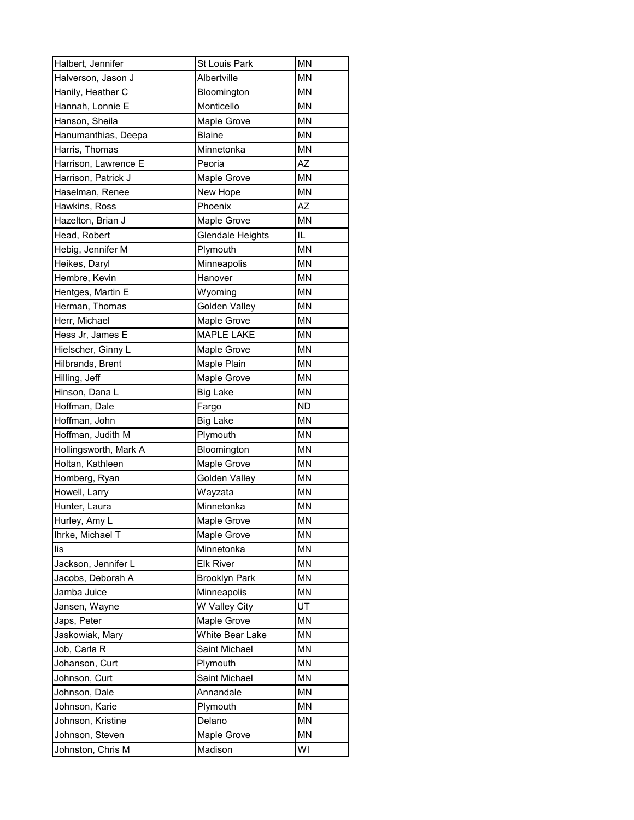| Halbert, Jennifer     | St Louis Park        | <b>MN</b> |
|-----------------------|----------------------|-----------|
| Halverson, Jason J    | Albertville          | <b>MN</b> |
| Hanily, Heather C     | Bloomington          | <b>MN</b> |
| Hannah, Lonnie E      | Monticello           | <b>MN</b> |
| Hanson, Sheila        | Maple Grove          | <b>MN</b> |
| Hanumanthias, Deepa   | <b>Blaine</b>        | <b>MN</b> |
| Harris, Thomas        | Minnetonka           | <b>MN</b> |
| Harrison, Lawrence E  | Peoria               | AZ        |
| Harrison, Patrick J   | Maple Grove          | <b>MN</b> |
| Haselman, Renee       | New Hope             | <b>MN</b> |
| Hawkins, Ross         | Phoenix              | <b>AZ</b> |
| Hazelton, Brian J     | Maple Grove          | <b>MN</b> |
| Head, Robert          | Glendale Heights     | IL        |
| Hebig, Jennifer M     | Plymouth             | <b>MN</b> |
| Heikes, Daryl         | Minneapolis          | <b>MN</b> |
| Hembre, Kevin         | Hanover              | <b>MN</b> |
| Hentges, Martin E     | Wyoming              | MN        |
| Herman, Thomas        | Golden Valley        | <b>MN</b> |
| Herr, Michael         | Maple Grove          | <b>MN</b> |
| Hess Jr, James E      | <b>MAPLE LAKE</b>    | <b>MN</b> |
| Hielscher, Ginny L    | Maple Grove          | <b>MN</b> |
| Hilbrands, Brent      | Maple Plain          | <b>MN</b> |
| Hilling, Jeff         | Maple Grove          | <b>MN</b> |
| Hinson, Dana L        | <b>Big Lake</b>      | <b>MN</b> |
| Hoffman, Dale         | Fargo                | <b>ND</b> |
| Hoffman, John         | <b>Big Lake</b>      | <b>MN</b> |
| Hoffman, Judith M     | Plymouth             | <b>MN</b> |
| Hollingsworth, Mark A | Bloomington          | <b>MN</b> |
| Holtan, Kathleen      | Maple Grove          | <b>MN</b> |
| Homberg, Ryan         | <b>Golden Valley</b> | <b>MN</b> |
| Howell, Larry         | Wayzata              | <b>MN</b> |
| Hunter, Laura         | Minnetonka           | <b>MN</b> |
| Hurley, Amy L         | Maple Grove          | MN        |
| Ihrke, Michael T      | Maple Grove          | <b>MN</b> |
| lis                   | Minnetonka           | MN        |
| Jackson, Jennifer L   | <b>Elk River</b>     | MN        |
| Jacobs, Deborah A     | <b>Brooklyn Park</b> | MN        |
| Jamba Juice           | Minneapolis          | MN        |
| Jansen, Wayne         | W Valley City        | UT        |
| Japs, Peter           | Maple Grove          | MN        |
| Jaskowiak, Mary       | White Bear Lake      | MN        |
| Job, Carla R          | Saint Michael        | <b>MN</b> |
| Johanson, Curt        | Plymouth             | MN        |
| Johnson, Curt         | Saint Michael        | MN        |
| Johnson, Dale         | Annandale            | MN        |
| Johnson, Karie        | Plymouth             | <b>MN</b> |
| Johnson, Kristine     | Delano               | MN        |
| Johnson, Steven       | Maple Grove          | <b>MN</b> |
| Johnston, Chris M     | Madison              | WI        |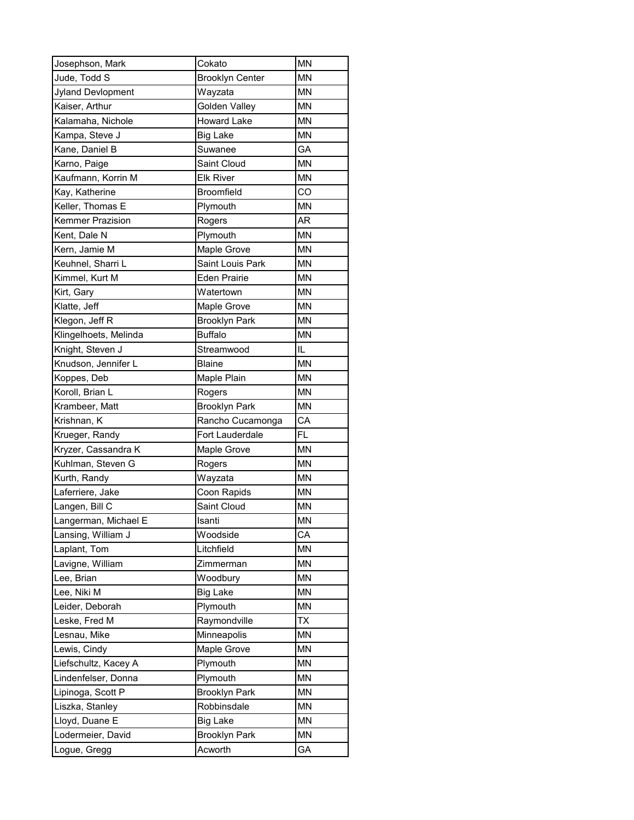| Josephson, Mark         | Cokato                          | <b>MN</b> |
|-------------------------|---------------------------------|-----------|
| Jude, Todd S            | <b>Brooklyn Center</b>          | <b>MN</b> |
| Jyland Devlopment       | Wayzata                         | <b>MN</b> |
| Kaiser, Arthur          | Golden Valley                   | <b>MN</b> |
| Kalamaha, Nichole       | <b>Howard Lake</b>              | <b>MN</b> |
| Kampa, Steve J          | <b>Big Lake</b>                 | <b>MN</b> |
| Kane, Daniel B          | Suwanee                         | GA        |
| Karno, Paige            | Saint Cloud                     | <b>MN</b> |
| Kaufmann, Korrin M      | <b>Elk River</b>                | <b>MN</b> |
| Kay, Katherine          | <b>Broomfield</b>               | CO        |
| Keller, Thomas E        | Plymouth                        | <b>MN</b> |
| <b>Kemmer Prazision</b> | Rogers                          | AR        |
| Kent, Dale N            | Plymouth                        | <b>MN</b> |
| Kern, Jamie M           | Maple Grove                     | <b>MN</b> |
| Keuhnel, Sharri L       | Saint Louis Park                | <b>MN</b> |
| Kimmel, Kurt M          | <b>Eden Prairie</b>             | <b>MN</b> |
| Kirt, Gary              | Watertown                       | <b>MN</b> |
| Klatte, Jeff            | Maple Grove                     | <b>MN</b> |
| Klegon, Jeff R          | <b>Brooklyn Park</b>            | <b>MN</b> |
| Klingelhoets, Melinda   | <b>Buffalo</b>                  | <b>MN</b> |
| Knight, Steven J        | Streamwood                      | IL        |
| Knudson, Jennifer L     | <b>Blaine</b>                   | <b>MN</b> |
| Koppes, Deb             | Maple Plain                     | <b>MN</b> |
| Koroll, Brian L         | Rogers                          | <b>MN</b> |
| Krambeer, Matt          | <b>Brooklyn Park</b>            | <b>MN</b> |
| Krishnan, K             | Rancho Cucamonga                | CA        |
| Krueger, Randy          | Fort Lauderdale                 | <b>FL</b> |
| Kryzer, Cassandra K     | <b>Maple Grove</b>              | <b>MN</b> |
| Kuhlman, Steven G       | Rogers                          | <b>MN</b> |
| Kurth, Randy            | Wayzata                         | <b>MN</b> |
| Laferriere, Jake        | Coon Rapids                     | <b>MN</b> |
| Langen, Bill C          | Saint Cloud                     | <b>MN</b> |
| Langerman, Michael E    | Isanti                          | MN        |
| Lansing, William J      | Woodside                        | CА        |
| Laplant, Tom            | Litchfield                      | MN        |
| Lavigne, William        | Zimmerman                       | MN        |
| Lee, Brian              | Woodbury                        | <b>MN</b> |
| Lee, Niki M             | <b>Big Lake</b>                 | MN        |
| Leider, Deborah         | Plymouth                        | <b>MN</b> |
| Leske, Fred M           | Raymondville                    | ТX        |
| Lesnau, Mike            | Minneapolis                     | MN        |
| Lewis, Cindy            | Maple Grove                     | MN        |
| Liefschultz, Kacey A    | Plymouth                        | MN        |
| Lindenfelser, Donna     | Plymouth                        | MN        |
| Lipinoga, Scott P       | <b>Brooklyn Park</b>            | MN        |
| Liszka, Stanley         | Robbinsdale                     | <b>MN</b> |
| Lloyd, Duane E          | <b>Big Lake</b>                 | MN        |
|                         |                                 |           |
| Lodermeier, David       | <b>Brooklyn Park</b><br>Acworth | MN<br>GA  |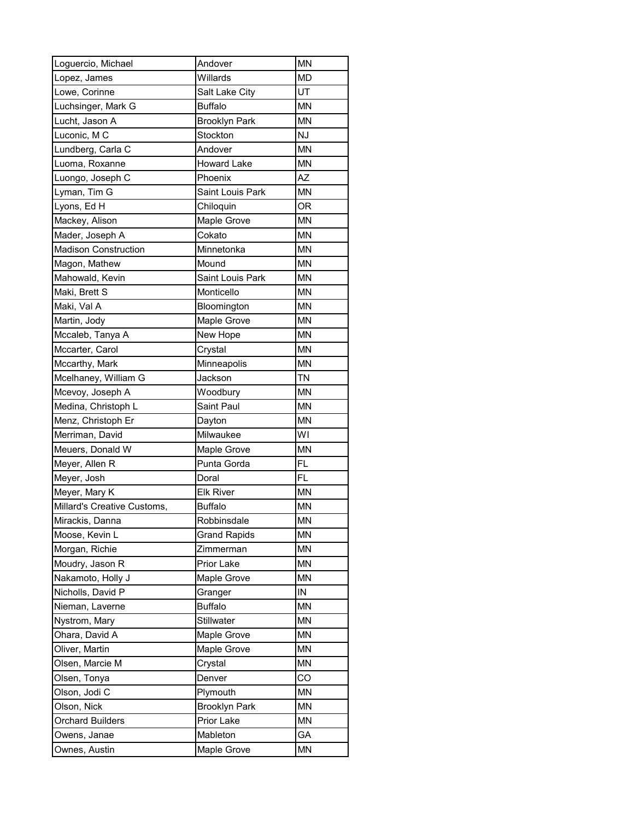| Loguercio, Michael          | Andover              | <b>MN</b> |
|-----------------------------|----------------------|-----------|
| Lopez, James                | Willards             | <b>MD</b> |
| Lowe, Corinne               | Salt Lake City       | UT        |
| Luchsinger, Mark G          | <b>Buffalo</b>       | <b>MN</b> |
| Lucht, Jason A              | <b>Brooklyn Park</b> | <b>MN</b> |
| Luconic, M C                | Stockton             | <b>NJ</b> |
| Lundberg, Carla C           | Andover              | <b>MN</b> |
| Luoma, Roxanne              | <b>Howard Lake</b>   | <b>MN</b> |
| Luongo, Joseph C            | Phoenix              | AZ        |
| Lyman, Tim G                | Saint Louis Park     | <b>MN</b> |
| Lyons, Ed H                 | Chiloquin            | <b>OR</b> |
| Mackey, Alison              | Maple Grove          | <b>MN</b> |
| Mader, Joseph A             | Cokato               | <b>MN</b> |
| <b>Madison Construction</b> | Minnetonka           | <b>MN</b> |
| Magon, Mathew               | Mound                | <b>MN</b> |
| Mahowald, Kevin             | Saint Louis Park     | <b>MN</b> |
| Maki, Brett S               | Monticello           | <b>MN</b> |
| Maki, Val A                 | Bloomington          | <b>MN</b> |
| Martin, Jody                | Maple Grove          | <b>MN</b> |
| Mccaleb, Tanya A            | New Hope             | <b>MN</b> |
| Mccarter, Carol             | Crystal              | <b>MN</b> |
| Mccarthy, Mark              | Minneapolis          | <b>MN</b> |
| Mcelhaney, William G        | Jackson              | <b>TN</b> |
| Mcevoy, Joseph A            | Woodbury             | <b>MN</b> |
| Medina, Christoph L         | Saint Paul           | <b>MN</b> |
| Menz, Christoph Er          | Dayton               | <b>MN</b> |
| Merriman, David             | Milwaukee            | WI        |
| Meuers, Donald W            | Maple Grove          | <b>MN</b> |
| Meyer, Allen R              | Punta Gorda          | FL        |
| Meyer, Josh                 | Doral                | <b>FL</b> |
| Meyer, Mary K               | <b>Elk River</b>     | <b>MN</b> |
| Millard's Creative Customs, | <b>Buffalo</b>       | <b>MN</b> |
| Mirackis, Danna             | Robbinsdale          | MN        |
| Moose, Kevin L              | <b>Grand Rapids</b>  | MN        |
| Morgan, Richie              | Zimmerman            | MN        |
| Moudry, Jason R             | Prior Lake           | <b>MN</b> |
| Nakamoto, Holly J           | Maple Grove          | <b>MN</b> |
| Nicholls, David P           | Granger              | IN        |
| Nieman, Laverne             | <b>Buffalo</b>       | <b>MN</b> |
| Nystrom, Mary               | Stillwater           | <b>MN</b> |
| Ohara, David A              | Maple Grove          | MN        |
| Oliver, Martin              | Maple Grove          | MN        |
| Olsen, Marcie M             | Crystal              | <b>MN</b> |
| Olsen, Tonya                | Denver               | CO        |
| Olson, Jodi C               | Plymouth             | MN        |
| Olson, Nick                 | <b>Brooklyn Park</b> | <b>MN</b> |
| <b>Orchard Builders</b>     | Prior Lake           | MN        |
| Owens, Janae                | Mableton             | GA        |
| Ownes, Austin               | Maple Grove          | <b>MN</b> |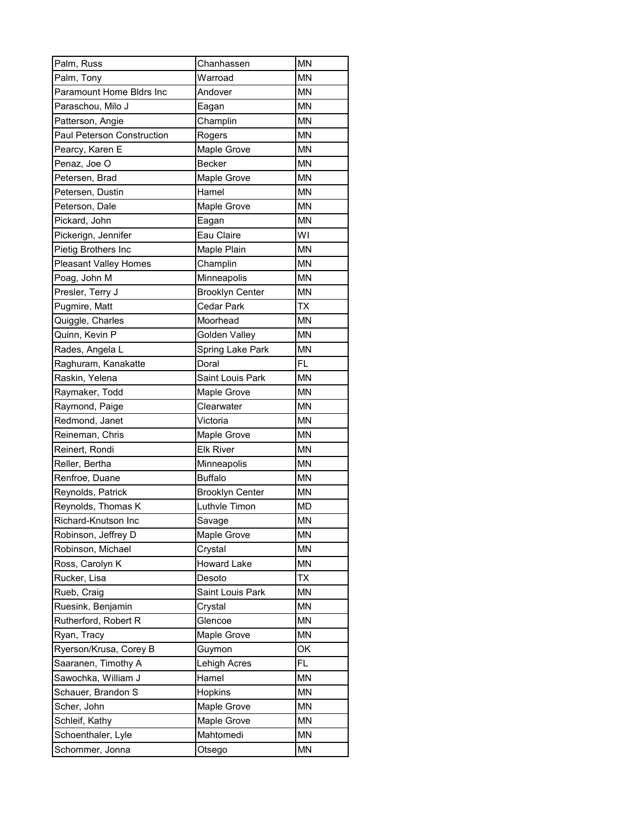| Palm, Russ                   | Chanhassen             | <b>MN</b> |
|------------------------------|------------------------|-----------|
| Palm, Tony                   | Warroad                | <b>MN</b> |
| Paramount Home Bldrs Inc     | Andover                | <b>MN</b> |
| Paraschou, Milo J            | Eagan                  | <b>MN</b> |
| Patterson, Angie             | Champlin               | <b>MN</b> |
| Paul Peterson Construction   | Rogers                 | <b>MN</b> |
| Pearcy, Karen E              | Maple Grove            | <b>MN</b> |
| Penaz, Joe O                 | <b>Becker</b>          | <b>MN</b> |
| Petersen, Brad               | Maple Grove            | <b>MN</b> |
| Petersen, Dustin             | Hamel                  | <b>MN</b> |
| Peterson, Dale               | Maple Grove            | <b>MN</b> |
| Pickard, John                | Eagan                  | <b>MN</b> |
| Pickerign, Jennifer          | Eau Claire             | WI        |
| Pietig Brothers Inc          | Maple Plain            | <b>MN</b> |
| <b>Pleasant Valley Homes</b> | Champlin               | <b>MN</b> |
| Poag, John M                 | Minneapolis            | <b>MN</b> |
| Presler, Terry J             | <b>Brooklyn Center</b> | <b>MN</b> |
| Pugmire, Matt                | Cedar Park             | <b>TX</b> |
| Quiggle, Charles             | Moorhead               | <b>MN</b> |
| Quinn, Kevin P               | <b>Golden Valley</b>   | <b>MN</b> |
| Rades, Angela L              | Spring Lake Park       | <b>MN</b> |
| Raghuram, Kanakatte          | Doral                  | <b>FL</b> |
| Raskin, Yelena               | Saint Louis Park       | <b>MN</b> |
| Raymaker, Todd               | <b>Maple Grove</b>     | <b>MN</b> |
| Raymond, Paige               | Clearwater             | <b>MN</b> |
| Redmond, Janet               | Victoria               | <b>MN</b> |
| Reineman, Chris              | Maple Grove            | <b>MN</b> |
| Reinert, Rondi               | <b>Elk River</b>       | <b>MN</b> |
| Reller, Bertha               | Minneapolis            | <b>MN</b> |
| Renfroe, Duane               | <b>Buffalo</b>         | <b>MN</b> |
| Reynolds, Patrick            | <b>Brooklyn Center</b> | <b>MN</b> |
| Reynolds, Thomas K           | Luthvle Timon          | <b>MD</b> |
| Richard-Knutson Inc          | Savage                 | MN        |
| Robinson, Jeffrey D          | Maple Grove            | ΜN        |
| Robinson, Michael            | Crystal                | <b>MN</b> |
| Ross, Carolyn K              | <b>Howard Lake</b>     | <b>MN</b> |
| Rucker, Lisa                 | Desoto                 | ТX        |
| Rueb, Craig                  | Saint Louis Park       | MN        |
| Ruesink, Benjamin            | Crystal                | <b>MN</b> |
| Rutherford, Robert R         | Glencoe                | MN        |
| Ryan, Tracy                  | Maple Grove            | MN        |
| Ryerson/Krusa, Corey B       | Guymon                 | OK        |
| Saaranen, Timothy A          | Lehigh Acres           | FL.       |
| Sawochka, William J          | Hamel                  | MΝ        |
| Schauer, Brandon S           | Hopkins                | MN        |
| Scher, John                  | Maple Grove            | MN        |
| Schleif, Kathy               | Maple Grove            | MN        |
| Schoenthaler, Lyle           | Mahtomedi              | MN        |
| Schommer, Jonna              | Otsego                 | <b>MN</b> |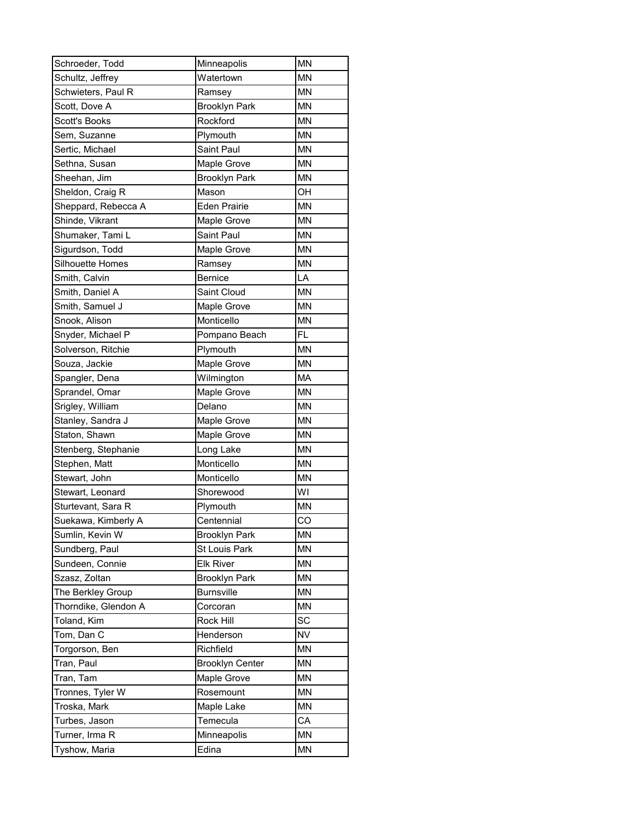| Schroeder, Todd      | Minneapolis            | <b>MN</b> |
|----------------------|------------------------|-----------|
| Schultz, Jeffrey     | Watertown              | MN        |
| Schwieters, Paul R   | Ramsey                 | <b>MN</b> |
| Scott, Dove A        | <b>Brooklyn Park</b>   | <b>MN</b> |
| <b>Scott's Books</b> | Rockford               | <b>MN</b> |
| Sem, Suzanne         | Plymouth               | <b>MN</b> |
| Sertic, Michael      | Saint Paul             | <b>MN</b> |
| Sethna, Susan        | Maple Grove            | <b>MN</b> |
| Sheehan, Jim         | <b>Brooklyn Park</b>   | <b>MN</b> |
| Sheldon, Craig R     | Mason                  | OH        |
| Sheppard, Rebecca A  | <b>Eden Prairie</b>    | <b>MN</b> |
| Shinde, Vikrant      | Maple Grove            | <b>MN</b> |
| Shumaker, Tami L     | Saint Paul             | <b>MN</b> |
| Sigurdson, Todd      | Maple Grove            | <b>MN</b> |
| Silhouette Homes     | Ramsey                 | <b>MN</b> |
| Smith, Calvin        | <b>Bernice</b>         | LA        |
| Smith, Daniel A      | Saint Cloud            | <b>MN</b> |
| Smith, Samuel J      | Maple Grove            | MN        |
| Snook, Alison        | Monticello             | <b>MN</b> |
| Snyder, Michael P    | Pompano Beach          | <b>FL</b> |
| Solverson, Ritchie   | Plymouth               | <b>MN</b> |
| Souza, Jackie        | Maple Grove            | <b>MN</b> |
| Spangler, Dena       | Wilmington             | MA        |
| Sprandel, Omar       | Maple Grove            | MN        |
| Srigley, William     | Delano                 | <b>MN</b> |
| Stanley, Sandra J    | Maple Grove            | <b>MN</b> |
| Staton, Shawn        | Maple Grove            | MN        |
| Stenberg, Stephanie  | Long Lake              | MN        |
| Stephen, Matt        | Monticello             | <b>MN</b> |
| Stewart, John        | Monticello             | <b>MN</b> |
| Stewart, Leonard     | Shorewood              | WI        |
| Sturtevant, Sara R   | Plymouth               | MN        |
| Suekawa, Kimberly A  | Centennial             | CO        |
| Sumlin, Kevin W      | <b>Brooklyn Park</b>   | <b>MN</b> |
| Sundberg, Paul       | St Louis Park          | ΜN        |
| Sundeen, Connie      | <b>Elk River</b>       | ΜN        |
| Szasz, Zoltan        | <b>Brooklyn Park</b>   | ΜN        |
| The Berkley Group    | <b>Burnsville</b>      | ΜN        |
| Thorndike, Glendon A | Corcoran               | <b>MN</b> |
| Toland, Kim          | Rock Hill              | SC        |
| Tom, Dan C           | Henderson              | NV        |
| Torgorson, Ben       | Richfield              | MN        |
| Tran, Paul           | <b>Brooklyn Center</b> | MN        |
| Tran, Tam            | Maple Grove            | MN        |
| Tronnes, Tyler W     | Rosemount              | MN        |
| Troska, Mark         | Maple Lake             | <b>MN</b> |
| Turbes, Jason        | Temecula               | СA        |
| Turner, Irma R       | Minneapolis            | MN        |
| Tyshow, Maria        | Edina                  | <b>MN</b> |